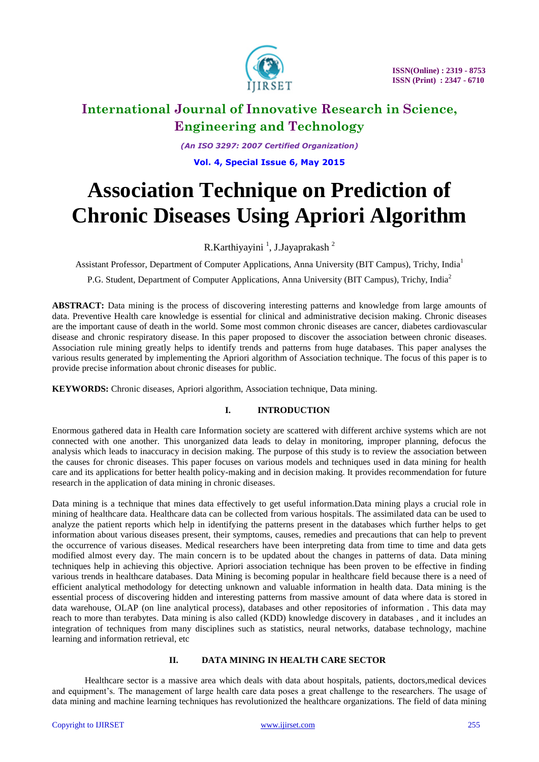

*(An ISO 3297: 2007 Certified Organization)* **Vol. 4, Special Issue 6, May 2015**

# **Association Technique on Prediction of Chronic Diseases Using Apriori Algorithm**

R.Karthiyayini<sup>1</sup>, J.Jayaprakash<sup>2</sup>

Assistant Professor, Department of Computer Applications, Anna University (BIT Campus), Trichy, India<sup>1</sup>

P.G. Student, Department of Computer Applications, Anna University (BIT Campus), Trichy, India<sup>2</sup>

**ABSTRACT:** Data mining is the process of discovering interesting patterns and knowledge from large amounts of data. Preventive Health care knowledge is essential for clinical and administrative decision making. Chronic diseases are the important cause of death in the world. Some most common chronic diseases are cancer, diabetes cardiovascular disease and chronic respiratory disease. In this paper proposed to discover the association between chronic diseases. Association rule mining greatly helps to identify trends and patterns from huge databases. This paper analyses the various results generated by implementing the Apriori algorithm of Association technique. The focus of this paper is to provide precise information about chronic diseases for public.

**KEYWORDS:** Chronic diseases, Apriori algorithm, Association technique, Data mining.

### **I. INTRODUCTION**

Enormous gathered data in Health care Information society are scattered with different archive systems which are not connected with one another. This unorganized data leads to delay in monitoring, improper planning, defocus the analysis which leads to inaccuracy in decision making. The purpose of this study is to review the association between the causes for chronic diseases. This paper focuses on various models and techniques used in data mining for health care and its applications for better health policy-making and in decision making. It provides recommendation for future research in the application of data mining in chronic diseases.

Data mining is a technique that mines data effectively to get useful information.Data mining plays a crucial role in mining of healthcare data. Healthcare data can be collected from various hospitals. The assimilated data can be used to analyze the patient reports which help in identifying the patterns present in the databases which further helps to get information about various diseases present, their symptoms, causes, remedies and precautions that can help to prevent the occurrence of various diseases. Medical researchers have been interpreting data from time to time and data gets modified almost every day. The main concern is to be updated about the changes in patterns of data. Data mining techniques help in achieving this objective. Apriori association technique has been proven to be effective in finding various trends in healthcare databases. Data Mining is becoming popular in healthcare field because there is a need of efficient analytical methodology for detecting unknown and valuable information in health data. Data mining is the essential process of discovering hidden and interesting patterns from massive amount of data where data is stored in data warehouse, OLAP (on line analytical process), databases and other repositories of information . This data may reach to more than terabytes. Data mining is also called (KDD) knowledge discovery in databases , and it includes an integration of techniques from many disciplines such as statistics, neural networks, database technology, machine learning and information retrieval, etc

#### **II. DATA MINING IN HEALTH CARE SECTOR**

Healthcare sector is a massive area which deals with data about hospitals, patients, doctors,medical devices and equipment's. The management of large health care data poses a great challenge to the researchers. The usage of data mining and machine learning techniques has revolutionized the healthcare organizations. The field of data mining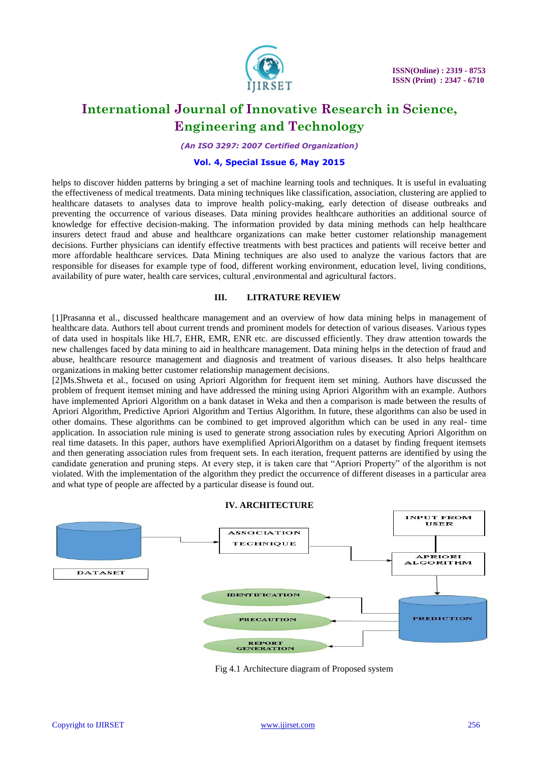

*(An ISO 3297: 2007 Certified Organization)*

#### **Vol. 4, Special Issue 6, May 2015**

helps to discover hidden patterns by bringing a set of machine learning tools and techniques. It is useful in evaluating the effectiveness of medical treatments. Data mining techniques like classification, association, clustering are applied to healthcare datasets to analyses data to improve health policy-making, early detection of disease outbreaks and preventing the occurrence of various diseases. Data mining provides healthcare authorities an additional source of knowledge for effective decision-making. The information provided by data mining methods can help healthcare insurers detect fraud and abuse and healthcare organizations can make better customer relationship management decisions. Further physicians can identify effective treatments with best practices and patients will receive better and more affordable healthcare services. Data Mining techniques are also used to analyze the various factors that are responsible for diseases for example type of food, different working environment, education level, living conditions, availability of pure water, health care services, cultural ,environmental and agricultural factors.

#### **III. LITRATURE REVIEW**

[1]Prasanna et al., discussed healthcare management and an overview of how data mining helps in management of healthcare data. Authors tell about current trends and prominent models for detection of various diseases. Various types of data used in hospitals like HL7, EHR, EMR, ENR etc. are discussed efficiently. They draw attention towards the new challenges faced by data mining to aid in healthcare management. Data mining helps in the detection of fraud and abuse, healthcare resource management and diagnosis and treatment of various diseases. It also helps healthcare organizations in making better customer relationship management decisions.

[2]Ms.Shweta et al., focused on using Apriori Algorithm for frequent item set mining. Authors have discussed the problem of frequent itemset mining and have addressed the mining using Apriori Algorithm with an example. Authors have implemented Apriori Algorithm on a bank dataset in Weka and then a comparison is made between the results of Apriori Algorithm, Predictive Apriori Algorithm and Tertius Algorithm. In future, these algorithms can also be used in other domains. These algorithms can be combined to get improved algorithm which can be used in any real- time application. In association rule mining is used to generate strong association rules by executing Apriori Algorithm on real time datasets. In this paper, authors have exemplified AprioriAlgorithm on a dataset by finding frequent itemsets and then generating association rules from frequent sets. In each iteration, frequent patterns are identified by using the candidate generation and pruning steps. At every step, it is taken care that "Apriori Property" of the algorithm is not violated. With the implementation of the algorithm they predict the occurrence of different diseases in a particular area and what type of people are affected by a particular disease is found out.



Fig 4.1 Architecture diagram of Proposed system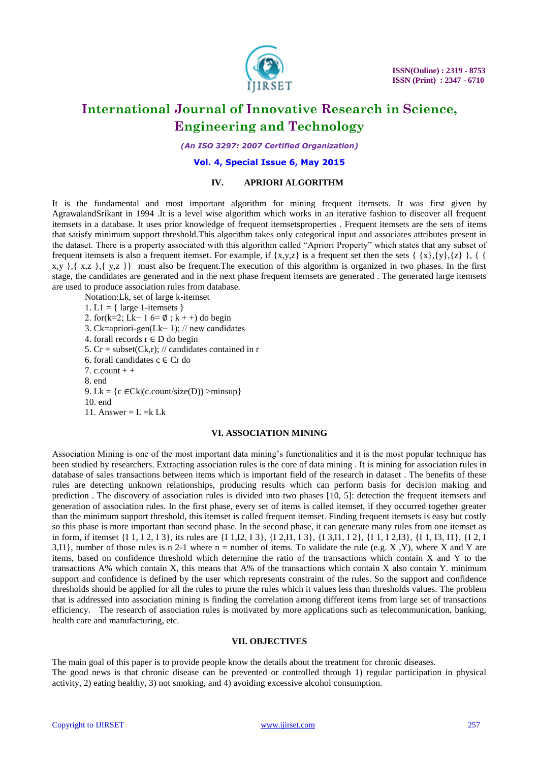

*(An ISO 3297: 2007 Certified Organization)*

#### **Vol. 4, Special Issue 6, May 2015**

#### **IV. APRIORI ALGORITHM**

It is the fundamental and most important algorithm for mining frequent itemsets. It was first given by AgrawalandSrikant in 1994 .It is a level wise algorithm which works in an iterative fashion to discover all frequent itemsets in a database. It uses prior knowledge of frequent itemsetsproperties . Frequent itemsets are the sets of items that satisfy minimum support threshold.This algorithm takes only categorical input and associates attributes present in the dataset. There is a property associated with this algorithm called "Apriori Property" which states that any subset of frequent itemsets is also a frequent itemset. For example, if  $\{x,y,z\}$  is a frequent set then the sets  $\{\{x\},\{y\},\{z\}\}\$  $x,y$ ,  $\{x,z\}$ ,  $\{y,z\}$  must also be frequent. The execution of this algorithm is organized in two phases. In the first stage, the candidates are generated and in the next phase frequent itemsets are generated . The generated large itemsets are used to produce association rules from database.

Notation:Lk, set of large k-itemset 1. L1 = { large 1-itemsets } 2. for(k=2; Lk− 1 6= ∅ ; k + +) do begin 3. Ck=apriori-gen(Lk− 1); // new candidates 4. forall records  $r \in D$  do begin 5. Cr = subset(Ck,r); // candidates contained in r 6. forall candidates c ∈ Cr do 7. c. count  $+$  + 8. end 9. Lk = {c  $\in$ Ck|(c.count/size(D)) >minsup} 10. end 11. Answer =  $L = k Lk$ 

#### **VI. ASSOCIATION MINING**

Association Mining is one of the most important data mining's functionalities and it is the most popular technique has been studied by researchers. Extracting association rules is the core of data mining . It is mining for association rules in database of sales transactions between items which is important field of the research in dataset . The benefits of these rules are detecting unknown relationships, producing results which can perform basis for decision making and prediction . The discovery of association rules is divided into two phases [10, 5]: detection the frequent itemsets and generation of association rules. In the first phase, every set of items is called itemset, if they occurred together greater than the minimum support threshold, this itemset is called frequent itemset. Finding frequent itemsets is easy but costly so this phase is more important than second phase. In the second phase, it can generate many rules from one itemset as in form, if itemset {I 1, I 2, I 3}, its rules are {I 1, I2, I 3}, {I 2, I1, I 3}, {I 3, I1, I 2}, {I 1, I 2, I3}, {I 1, I3, I1}, {I 2, I 3,I1}, number of those rules is n 2-1 where  $n =$  number of items. To validate the rule (e.g. X, Y), where X and Y are items, based on confidence threshold which determine the ratio of the transactions which contain X and Y to the transactions A% which contain X, this means that A% of the transactions which contain X also contain Y. minimum support and confidence is defined by the user which represents constraint of the rules. So the support and confidence thresholds should be applied for all the rules to prune the rules which it values less than thresholds values. The problem that is addressed into association mining is finding the correlation among different items from large set of transactions efficiency. The research of association rules is motivated by more applications such as telecommunication, banking, health care and manufacturing, etc.

#### **VII. OBJECTIVES**

The main goal of this paper is to provide people know the details about the treatment for chronic diseases.

The good news is that chronic disease can be prevented or controlled through 1) regular participation in physical activity, 2) eating healthy, 3) not smoking, and 4) avoiding excessive alcohol consumption.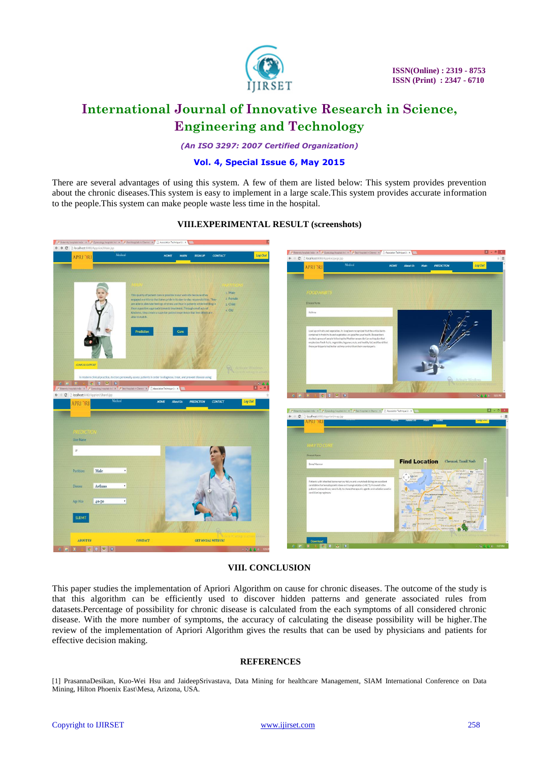

*(An ISO 3297: 2007 Certified Organization)*

### **Vol. 4, Special Issue 6, May 2015**

There are several advantages of using this system. A few of them are listed below: This system provides prevention about the chronic diseases.This system is easy to implement in a large scale.This system provides accurate information to the people.This system can make people waste less time in the hospital.



#### **VIII.EXPERIMENTAL RESULT (screenshots)**

### **VIII. CONCLUSION**

This paper studies the implementation of Apriori Algorithm on cause for chronic diseases. The outcome of the study is that this algorithm can be efficiently used to discover hidden patterns and generate associated rules from datasets.Percentage of possibility for chronic disease is calculated from the each symptoms of all considered chronic disease. With the more number of symptoms, the accuracy of calculating the disease possibility will be higher.The review of the implementation of Apriori Algorithm gives the results that can be used by physicians and patients for effective decision making.

#### **REFERENCES**

[1] PrasannaDesikan, Kuo-Wei Hsu and JaideepSrivastava, Data Mining for healthcare Management, SIAM International Conference on Data Mining, Hilton Phoenix East\Mesa, Arizona, USA.